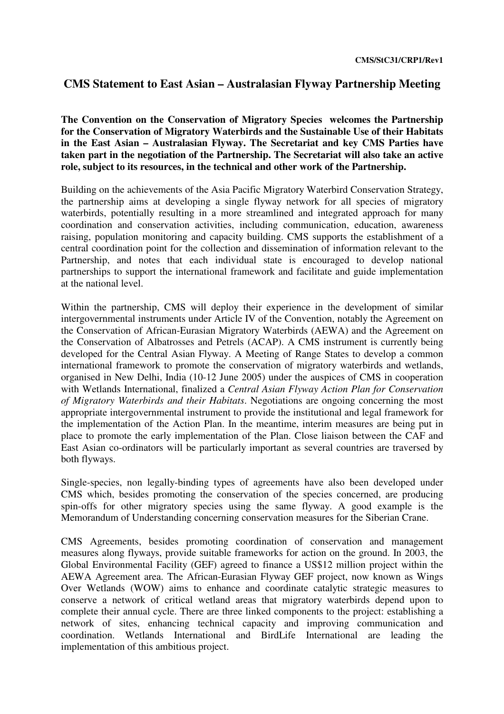## **CMS Statement to East Asian – Australasian Flyway Partnership Meeting**

**The Convention on the Conservation of Migratory Species welcomes the Partnership for the Conservation of Migratory Waterbirds and the Sustainable Use of their Habitats in the East Asian – Australasian Flyway. The Secretariat and key CMS Parties have taken part in the negotiation of the Partnership. The Secretariat will also take an active role, subject to its resources, in the technical and other work of the Partnership.** 

Building on the achievements of the Asia Pacific Migratory Waterbird Conservation Strategy, the partnership aims at developing a single flyway network for all species of migratory waterbirds, potentially resulting in a more streamlined and integrated approach for many coordination and conservation activities, including communication, education, awareness raising, population monitoring and capacity building. CMS supports the establishment of a central coordination point for the collection and dissemination of information relevant to the Partnership, and notes that each individual state is encouraged to develop national partnerships to support the international framework and facilitate and guide implementation at the national level.

Within the partnership, CMS will deploy their experience in the development of similar intergovernmental instruments under Article IV of the Convention, notably the Agreement on the Conservation of African-Eurasian Migratory Waterbirds (AEWA) and the Agreement on the Conservation of Albatrosses and Petrels (ACAP). A CMS instrument is currently being developed for the Central Asian Flyway. A Meeting of Range States to develop a common international framework to promote the conservation of migratory waterbirds and wetlands, organised in New Delhi, India (10-12 June 2005) under the auspices of CMS in cooperation with Wetlands International, finalized a *Central Asian Flyway Action Plan for Conservation of Migratory Waterbirds and their Habitats*. Negotiations are ongoing concerning the most appropriate intergovernmental instrument to provide the institutional and legal framework for the implementation of the Action Plan. In the meantime, interim measures are being put in place to promote the early implementation of the Plan. Close liaison between the CAF and East Asian co-ordinators will be particularly important as several countries are traversed by both flyways.

Single-species, non legally-binding types of agreements have also been developed under CMS which, besides promoting the conservation of the species concerned, are producing spin-offs for other migratory species using the same flyway. A good example is the Memorandum of Understanding concerning conservation measures for the Siberian Crane.

CMS Agreements, besides promoting coordination of conservation and management measures along flyways, provide suitable frameworks for action on the ground. In 2003, the Global Environmental Facility (GEF) agreed to finance a US\$12 million project within the AEWA Agreement area. The African-Eurasian Flyway GEF project, now known as Wings Over Wetlands (WOW) aims to enhance and coordinate catalytic strategic measures to conserve a network of critical wetland areas that migratory waterbirds depend upon to complete their annual cycle. There are three linked components to the project: establishing a network of sites, enhancing technical capacity and improving communication and coordination. Wetlands International and BirdLife International are leading the implementation of this ambitious project.